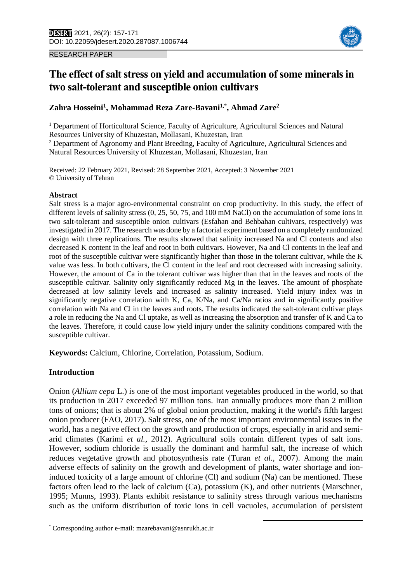



# **The effect of salt stress on yield and accumulation of some minerals in two salt-tolerant and susceptible onion cultivars**

## **Zahra Hosseini<sup>1</sup> , Mohammad Reza Zare-Bavani1,\* , Ahmad Zare<sup>2</sup>**

<sup>1</sup> Department of Horticultural Science, Faculty of Agriculture, Agricultural Sciences and Natural Resources University of Khuzestan, Mollasani, Khuzestan, Iran <sup>2</sup> Department of Agronomy and Plant Breeding, Faculty of Agriculture, Agricultural Sciences and

Natural Resources University of Khuzestan, Mollasani, Khuzestan, Iran

Received: 22 February 2021, Revised: 28 September 2021, Accepted: 3 November 2021 © University of Tehran

#### **Abstract**

Salt stress is a major agro-environmental constraint on crop productivity. In this study, the effect of different levels of salinity stress (0, 25, 50, 75, and 100 mM NaCl) on the accumulation of some ions in two salt-tolerant and susceptible onion cultivars (Esfahan and Behbahan cultivars, respectively) was investigated in 2017. The research was done by a factorial experiment based on a completely randomized design with three replications. The results showed that salinity increased Na and Cl contents and also decreased K content in the leaf and root in both cultivars. However, Na and Cl contents in the leaf and root of the susceptible cultivar were significantly higher than those in the tolerant cultivar, while the K value was less. In both cultivars, the Cl content in the leaf and root decreased with increasing salinity. However, the amount of Ca in the tolerant cultivar was higher than that in the leaves and roots of the susceptible cultivar. Salinity only significantly reduced Mg in the leaves. The amount of phosphate decreased at low salinity levels and increased as salinity increased. Yield injury index was in significantly negative correlation with K, Ca, K/Na, and Ca/Na ratios and in significantly positive correlation with Na and Cl in the leaves and roots. The results indicated the salt-tolerant cultivar plays a role in reducing the Na and Cl uptake, as well as increasing the absorption and transfer of K and Ca to the leaves. Therefore, it could cause low yield injury under the salinity conditions compared with the susceptible cultivar.

**Keywords:** Calcium, Chlorine, Correlation, Potassium, Sodium.

## **Introduction**

Onion (*Allium cepa* L.) is one of the most important vegetables produced in the world, so that its production in 2017 exceeded 97 million tons. Iran annually produces more than 2 million tons of onions; that is about 2% of global onion production, making it the world's fifth largest onion producer (FAO, 2017). Salt stress, one of the most important environmental issues in the world, has a negative effect on the growth and production of crops, especially in arid and semiarid climates (Karimi *et al.,* 2012). Agricultural soils contain different types of salt ions. However, sodium chloride is usually the dominant and harmful salt, the increase of which reduces vegetative growth and photosynthesis rate (Turan *et al.,* 2007). Among the main adverse effects of salinity on the growth and development of plants, water shortage and ioninduced toxicity of a large amount of chlorine (Cl) and sodium (Na) can be mentioned. These factors often lead to the lack of calcium (Ca), potassium (K), and other nutrients (Marschner, 1995; Munns, 1993). Plants exhibit resistance to salinity stress through various mechanisms such as the uniform distribution of toxic ions in cell vacuoles, accumulation of persistent

 $\overline{a}$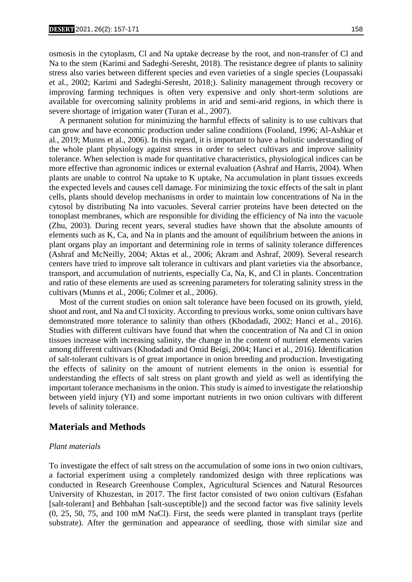osmosis in the cytoplasm, Cl and Na uptake decrease by the root, and non-transfer of Cl and Na to the stem (Karimi and Sadeghi-Seresht, 2018). The resistance degree of plants to salinity stress also varies between different species and even varieties of a single species (Loupassaki et al*.,* 2002; Karimi and Sadeghi-Seresht, 2018;). Salinity management through recovery or improving farming techniques is often very expensive and only short-term solutions are available for overcoming salinity problems in arid and semi-arid regions, in which there is severe shortage of irrigation water (Turan et al*.,* 2007).

 A permanent solution for minimizing the harmful effects of salinity is to use cultivars that can grow and have economic production under saline conditions (Fooland, 1996; Al-Ashkar et al*.,* 2019; Munns et al., 2006). In this regard, it is important to have a holistic understanding of the whole plant physiology against stress in order to select cultivars and improve salinity tolerance. When selection is made for quantitative characteristics, physiological indices can be more effective than agronomic indices or external evaluation (Ashraf and Harris, 2004). When plants are unable to control Na uptake to K uptake, Na accumulation in plant tissues exceeds the expected levels and causes cell damage. For minimizing the toxic effects of the salt in plant cells, plants should develop mechanisms in order to maintain low concentrations of Na in the cytosol by distributing Na into vacuoles. Several carrier proteins have been detected on the tonoplast membranes, which are responsible for dividing the efficiency of Na into the vacuole (Zhu, 2003). During recent years, several studies have shown that the absolute amounts of elements such as K, Ca, and Na in plants and the amount of equilibrium between the anions in plant organs play an important and determining role in terms of salinity tolerance differences (Ashraf and McNeilly, 2004; Aktas et al*.,* 2006; Akram and Ashraf, 2009). Several research centers have tried to improve salt tolerance in cultivars and plant varieties via the absorbance, transport, and accumulation of nutrients, especially Ca, Na, K, and Cl in plants. Concentration and ratio of these elements are used as screening parameters for tolerating salinity stress in the cultivars (Munns et al*.,* 2006; Colmer et al*.,* 2006).

 Most of the current studies on onion salt tolerance have been focused on its growth, yield, shoot and root, and Na and Cl toxicity. According to previous works, some onion cultivars have demonstrated more tolerance to salinity than others (Khodadadi, 2002; Hanci et al., 2016). Studies with different cultivars have found that when the concentration of Na and Cl in onion tissues increase with increasing salinity, the change in the content of nutrient elements varies among different cultivars (Khodadadi and Omid Beigi, 2004; Hanci et al*.,* 2016). Identification of salt-tolerant cultivars is of great importance in onion breeding and production. Investigating the effects of salinity on the amount of nutrient elements in the onion is essential for understanding the effects of salt stress on plant growth and yield as well as identifying the important tolerance mechanisms in the onion. This study is aimed to investigate the relationship between yield injury (YI) and some important nutrients in two onion cultivars with different levels of salinity tolerance.

#### **Materials and Methods**

#### *Plant materials*

To investigate the effect of salt stress on the accumulation of some ions in two onion cultivars, a factorial experiment using a completely randomized design with three replications was conducted in Research Greenhouse Complex, Agricultural Sciences and Natural Resources University of Khuzestan, in 2017. The first factor consisted of two onion cultivars (Esfahan [salt-tolerant] and Behbahan [salt-susceptible]) and the second factor was five salinity levels (0, 25, 50, 75, and 100 mM NaCl). First, the seeds were planted in transplant trays (perlite substrate). After the germination and appearance of seedling, those with similar size and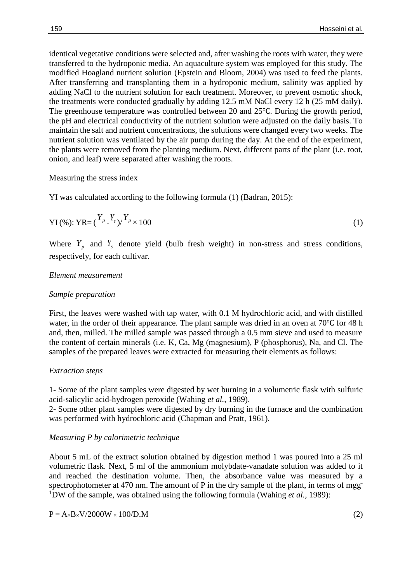identical vegetative conditions were selected and, after washing the roots with water, they were transferred to the hydroponic media. An aquaculture system was employed for this study. The modified Hoagland nutrient solution (Epstein and Bloom, 2004) was used to feed the plants. After transferring and transplanting them in a hydroponic medium, salinity was applied by adding NaCl to the nutrient solution for each treatment. Moreover, to prevent osmotic shock, the treatments were conducted gradually by adding 12.5 mM NaCl every 12 h (25 mM daily). The greenhouse temperature was controlled between 20 and 25℃. During the growth period, the pH and electrical conductivity of the nutrient solution were adjusted on the daily basis. To maintain the salt and nutrient concentrations, the solutions were changed every two weeks. The nutrient solution was ventilated by the air pump during the day. At the end of the experiment, the plants were removed from the planting medium. Next, different parts of the plant (i.e. root, onion, and leaf) were separated after washing the roots.

Measuring the stress index

YI was calculated according to the following formula (1) (Badran, 2015):

$$
YI(\%)
$$
:  $YR = {Y_p - Y_s \choose Y} Y_p \times 100$  (1)

Where  $Y_p$  and  $Y_s$  denote yield (bulb fresh weight) in non-stress and stress conditions, respectively, for each cultivar.

#### *Element measurement*

#### *Sample preparation*

First, the leaves were washed with tap water, with 0.1 M hydrochloric acid, and with distilled water, in the order of their appearance. The plant sample was dried in an oven at 70℃ for 48 h and, then, milled. The milled sample was passed through a 0.5 mm sieve and used to measure the content of certain minerals (i.e. K, Ca, Mg (magnesium), P (phosphorus), Na, and Cl. The samples of the prepared leaves were extracted for measuring their elements as follows:

#### *Extraction steps*

1- Some of the plant samples were digested by wet burning in a volumetric flask with sulfuric acid-salicylic acid-hydrogen peroxide (Wahing *et al.,* 1989).

2- Some other plant samples were digested by dry burning in the furnace and the combination was performed with hydrochloric acid (Chapman and Pratt, 1961).

#### *Measuring P by calorimetric technique*

About 5 mL of the extract solution obtained by digestion method 1 was poured into a 25 ml volumetric flask. Next, 5 ml of the ammonium molybdate-vanadate solution was added to it and reached the destination volume. Then, the absorbance value was measured by a spectrophotometer at 470 nm. The amount of P in the dry sample of the plant, in terms of mgg<sup>-</sup> <sup>1</sup>DW of the sample, was obtained using the following formula (Wahing *et al.,* 1989):

 $P = A \times B \times V / 2000W \times 100/D.M$  (2)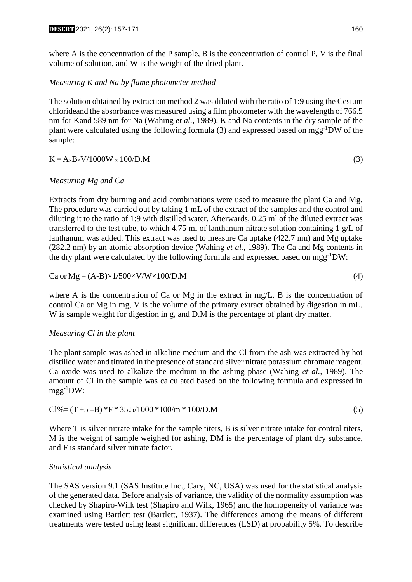where A is the concentration of the P sample, B is the concentration of control P, V is the final volume of solution, and W is the weight of the dried plant.

## *Measuring K and Na by flame photometer method*

The solution obtained by extraction method 2 was diluted with the ratio of 1:9 using the Cesium chlorideand the absorbance was measured using a film photometer with the wavelength of 766.5 nm for Kand 589 nm for Na (Wahing *et al.,* 1989). K and Na contents in the dry sample of the plant were calculated using the following formula (3) and expressed based on mgg-1DW of the sample:

$$
K = A \times B \times V / 1000W \times 100/D.M
$$
 (3)

## *Measuring Mg and Ca*

Extracts from dry burning and acid combinations were used to measure the plant Ca and Mg. The procedure was carried out by taking 1 mL of the extract of the samples and the control and diluting it to the ratio of 1:9 with distilled water. Afterwards, 0.25 ml of the diluted extract was transferred to the test tube, to which 4.75 ml of lanthanum nitrate solution containing 1 g/L of lanthanum was added. This extract was used to measure Ca uptake (422.7 nm) and Mg uptake (282.2 nm) by an atomic absorption device (Wahing *et al.,* 1989). The Ca and Mg contents in the dry plant were calculated by the following formula and expressed based on mgg-1DW:

$$
Ca or Mg = (A-B) \times 1/500 \times V/W \times 100/D.M
$$
\n(4)

where A is the concentration of Ca or Mg in the extract in mg/L, B is the concentration of control Ca or Mg in mg, V is the volume of the primary extract obtained by digestion in mL, W is sample weight for digestion in g, and D.M is the percentage of plant dry matter.

## *Measuring Cl in the plant*

The plant sample was ashed in alkaline medium and the Cl from the ash was extracted by hot distilled water and titrated in the presence of standard silver nitrate potassium chromate reagent. Ca oxide was used to alkalize the medium in the ashing phase (Wahing *et al.,* 1989). The amount of Cl in the sample was calculated based on the following formula and expressed in mgg-1DW:

$$
Cl\% = (T + 5 - B) * F * 35.5/1000 * 100/m * 100/D.M
$$
\n
$$
(5)
$$

Where T is silver nitrate intake for the sample titers, B is silver nitrate intake for control titers, M is the weight of sample weighed for ashing, DM is the percentage of plant dry substance, and F is standard silver nitrate factor.

## *Statistical analysis*

The SAS version 9.1 (SAS Institute Inc., Cary, NC, USA) was used for the statistical analysis of the generated data. Before analysis of variance, the validity of the normality assumption was checked by Shapiro-Wilk test (Shapiro and Wilk, 1965) and the homogeneity of variance was examined using Bartlett test (Bartlett, 1937). The differences among the means of different treatments were tested using least significant differences (LSD) at probability 5%. To describe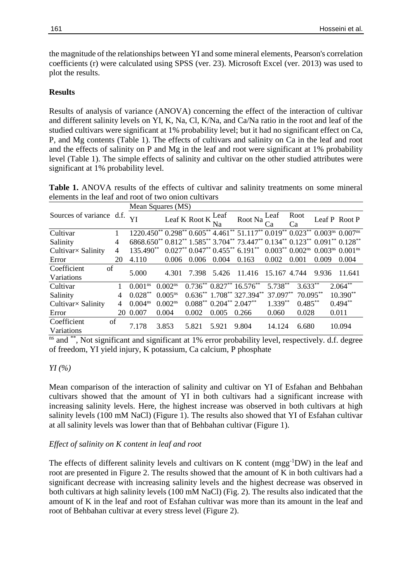the magnitude of the relationships between YI and some mineral elements, Pearson's correlation coefficients (r) were calculated using SPSS (ver. 23). Microsoft Excel (ver. 2013) was used to plot the results.

#### **Results**

Results of analysis of variance (ANOVA) concerning the effect of the interaction of cultivar and different salinity levels on YI, K, Na, Cl, K/Na, and Ca/Na ratio in the root and leaf of the studied cultivars were significant at 1% probability level; but it had no significant effect on Ca, P, and Mg contents (Table 1). The effects of cultivars and salinity on Ca in the leaf and root and the effects of salinity on P and Mg in the leaf and root were significant at 1% probability level (Table 1). The simple effects of salinity and cultivar on the other studied attributes were significant at 1% probability level.

Table 1. ANOVA results of the effects of cultivar and salinity treatments on some mineral elements in the leaf and root of two onion cultivars

|                           |    | Mean Squares (MS)   |                     |                                               |       |                                                                             |              |            |       |               |  |
|---------------------------|----|---------------------|---------------------|-----------------------------------------------|-------|-----------------------------------------------------------------------------|--------------|------------|-------|---------------|--|
| Sources of variance d.f.  |    | YI                  |                     | Leaf K Root K $\frac{\text{Leaf}}{\text{Na}}$ |       | Root Na                                                                     | Leaf<br>∷а   | Root<br>Cа |       | Leaf P Root P |  |
|                           |    |                     |                     |                                               |       |                                                                             |              |            |       |               |  |
| Cultivar                  |    |                     |                     |                                               |       | 1220.450** 0.298** 0.605** 4.461** 51.117** 0.019** 0.023** 0.003ns 0.007ns |              |            |       |               |  |
| Salinity                  | 4  |                     |                     |                                               |       | 6868.650** 0.812** 1.585** 3.704** 73.447** 0.134** 0.123** 0.091** 0.128** |              |            |       |               |  |
| Cultivar× Salinity        | 4  | 135.490**           |                     |                                               |       | $0.027**0.047**0.455**6.191**0.003**0.002**0.003**0.001**$                  |              |            |       |               |  |
| Error                     | 20 | 4.110               | 0.006               | 0.006                                         | 0.004 | 0.163                                                                       | 0.002        | 0.001      | 0.009 | 0.004         |  |
| Coefficient               | of | 5.000               | 4.301               | 7.398                                         | 5.426 | 11.416                                                                      | 15.167 4.744 |            | 9.936 | 11.641        |  |
| Variations                |    |                     |                     |                                               |       |                                                                             |              |            |       |               |  |
| Cultivar                  |    | 0.001 <sup>ns</sup> | $0.002^{ns}$        |                                               |       | $0.736^{**}$ $0.827^{**}$ $16.576^{**}$                                     | 5.738**      | $3.633***$ |       | $2.064$ **    |  |
| Salinity                  | 4  | $0.028***$          | $0.005^{ns}$        |                                               |       | $0.636^{**}$ 1.708** 327.394** 37.097**                                     |              | $70.095**$ |       | $10.390**$    |  |
| Cultivar× Salinity        |    | $0.004^{ns}$        | 0.002 <sup>ns</sup> | $0.088^{**}$ $0.204^{**}$ $2.047^{**}$        |       |                                                                             | $1.339**$    | $0.485***$ |       | $0.494**$     |  |
| Error                     | 20 | 0.007               | 0.004               | 0.002                                         | 0.005 | 0.266                                                                       | 0.060        | 0.028      |       | 0.011         |  |
| Coefficient<br>Variations | of | 7.178               | 3.853               | 5.821                                         | 5.921 | 9.804                                                                       | 14.124       | 6.680      |       | 10.094        |  |

ns and \*\*, Not significant and significant at 1% error probability level, respectively. d.f. degree of freedom, YI yield injury, K potassium, Ca calcium, P phosphate

#### *YI (%)*

Mean comparison of the interaction of salinity and cultivar on YI of Esfahan and Behbahan cultivars showed that the amount of YI in both cultivars had a significant increase with increasing salinity levels. Here, the highest increase was observed in both cultivars at high salinity levels (100 mM NaCl) (Figure 1). The results also showed that YI of Esfahan cultivar at all salinity levels was lower than that of Behbahan cultivar (Figure 1).

## *Effect of salinity on K content in leaf and root*

The effects of different salinity levels and cultivars on K content (mgg<sup>-1</sup>DW) in the leaf and root are presented in Figure 2. The results showed that the amount of K in both cultivars had a significant decrease with increasing salinity levels and the highest decrease was observed in both cultivars at high salinity levels (100 mM NaCl) (Fig. 2). The results also indicated that the amount of K in the leaf and root of Esfahan cultivar was more than its amount in the leaf and root of Behbahan cultivar at every stress level (Figure 2).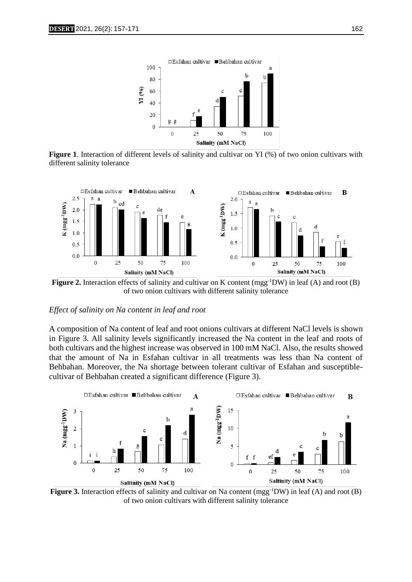

**Figure 1.** Interaction of different levels of salinity and cultivar on YI (%) of two onion cultivars with different salinity tolerance



**Figure 2.** Interaction effects of salinity and cultivar on K content (mgg<sup>-1</sup>DW) in leaf (A) and root (B) of two onion cultivars with different salinity tolerance

#### *Effect of salinity on Na content in leaf and root*

A composition of Na content of leaf and root onions cultivars at different NaCl levels is shown in Figure 3. All salinity levels significantly increased the Na content in the leaf and roots of both cultivars and the highest increase was observed in 100 mM NaCl. Also, the results showed that the amount of Na in Esfahan cultivar in all treatments was less than Na content of Behbahan. Moreover, the Na shortage between tolerant cultivar of Esfahan and susceptiblecultivar of Behbahan created a significant difference (Figure 3).



**Figure** 3. Interaction effects of salinity and cultivar on Na content (mgg<sup>-1</sup>DW) in leaf (A) and root (B) of two onion cultivars with different salinity tolerance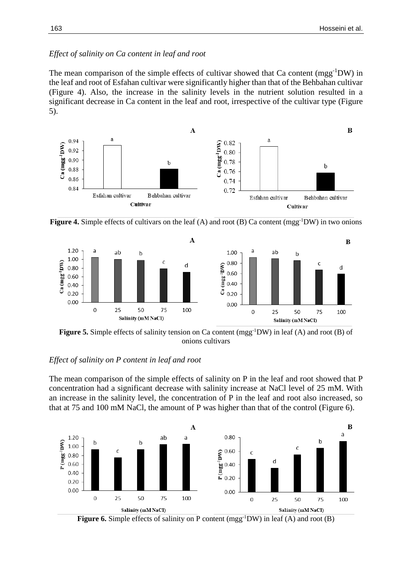The mean comparison of the simple effects of cultivar showed that Ca content (mgg<sup>-1</sup>DW) in the leaf and root of Esfahan cultivar were significantly higher than that of the Behbahan cultivar (Figure 4). Also, the increase in the salinity levels in the nutrient solution resulted in a significant decrease in Ca content in the leaf and root, irrespective of the cultivar type (Figure 5).



**Figure 4.** Simple effects of cultivars on the leaf (A) and root (B) Ca content (mgg-1DW) in two onions



**Figure 5.** Simple effects of salinity tension on Ca content (mgg<sup>-1</sup>DW) in leaf (A) and root (B) of onions cultivars

#### *Effect of salinity on P content in leaf and root*

The mean comparison of the simple effects of salinity on P in the leaf and root showed that P concentration had a significant decrease with salinity increase at NaCl level of 25 mM. With an increase in the salinity level, the concentration of P in the leaf and root also increased, so that at 75 and 100 mM NaCl, the amount of P was higher than that of the control (Figure 6).



**Figure 6.** Simple effects of salinity on P content (mgg<sup>-1</sup>DW) in leaf (A) and root (B)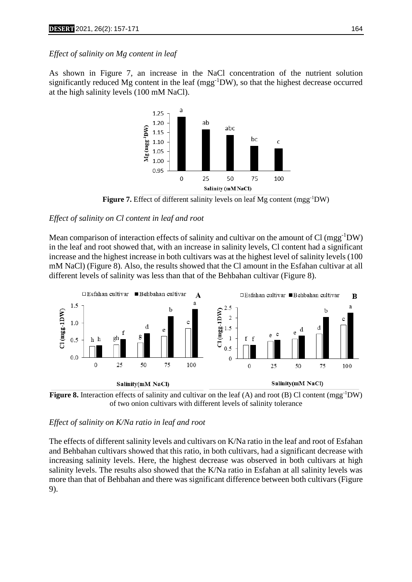#### *Effect of salinity on Mg content in leaf*

As shown in Figure 7, an increase in the NaCl concentration of the nutrient solution significantly reduced Mg content in the leaf (mgg<sup>-1</sup>DW), so that the highest decrease occurred at the high salinity levels (100 mM NaCl).



**Figure 7.** Effect of different salinity levels on leaf Mg content (mgg<sup>-1</sup>DW)

#### *Effect of salinity on Cl content in leaf and root*

Mean comparison of interaction effects of salinity and cultivar on the amount of Cl (mgg<sup>-1</sup>DW) in the leaf and root showed that, with an increase in salinity levels, Cl content had a significant increase and the highest increase in both cultivars was at the highest level of salinity levels (100 mM NaCl) (Figure 8). Also, the results showed that the Cl amount in the Esfahan cultivar at all different levels of salinity was less than that of the Behbahan cultivar (Figure 8).





#### *Effect of salinity on K/Na ratio in leaf and root*

The effects of different salinity levels and cultivars on K/Na ratio in the leaf and root of Esfahan and Behbahan cultivars showed that this ratio, in both cultivars, had a significant decrease with increasing salinity levels. Here, the highest decrease was observed in both cultivars at high salinity levels. The results also showed that the K/Na ratio in Esfahan at all salinity levels was more than that of Behbahan and there was significant difference between both cultivars (Figure 9).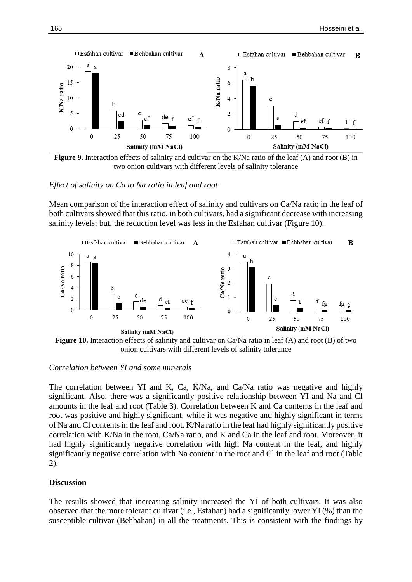

**Figure 9.** Interaction effects of salinity and cultivar on the K/Na ratio of the leaf (A) and root (B) in two onion cultivars with different levels of salinity tolerance

#### *Effect of salinity on Ca to Na ratio in leaf and root*

Mean comparison of the interaction effect of salinity and cultivars on Ca/Na ratio in the leaf of both cultivars showed that this ratio, in both cultivars, had a significant decrease with increasing salinity levels; but, the reduction level was less in the Esfahan cultivar (Figure 10).



**Figure 10.** Interaction effects of salinity and cultivar on Ca/Na ratio in leaf (A) and root (B) of two onion cultivars with different levels of salinity tolerance

#### *Correlation between YI and some minerals*

The correlation between YI and K, Ca, K/Na, and Ca/Na ratio was negative and highly significant. Also, there was a significantly positive relationship between YI and Na and Cl amounts in the leaf and root (Table 3). Correlation between K and Ca contents in the leaf and root was positive and highly significant, while it was negative and highly significant in terms of Na and Cl contents in the leaf and root. K/Na ratio in the leaf had highly significantly positive correlation with K/Na in the root, Ca/Na ratio, and K and Ca in the leaf and root. Moreover, it had highly significantly negative correlation with high Na content in the leaf, and highly significantly negative correlation with Na content in the root and Cl in the leaf and root (Table 2).

### **Discussion**

The results showed that increasing salinity increased the YI of both cultivars. It was also observed that the more tolerant cultivar (i.e., Esfahan) had a significantly lower YI (%) than the susceptible-cultivar (Behbahan) in all the treatments. This is consistent with the findings by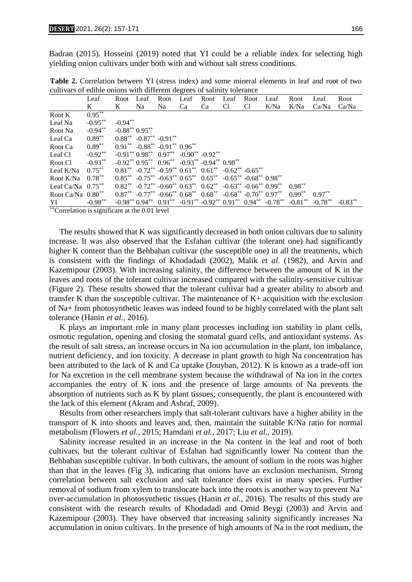Badran (2015). Hosseini (2019) noted that YI could be a reliable index for selecting high yielding onion cultivars under both with and without salt stress conditions.

**Table 2.** Correlation between YI (stress index) and some mineral elements in leaf and root of two cultivars of edible onions with different degrees of salinity tolerance

|                        | Leaf       | Root            | Leaf                                                                       | Root | Leaf | Root | Leaf | Root           | Leaf                                                                                                | Root       | Leaf       | Root       |
|------------------------|------------|-----------------|----------------------------------------------------------------------------|------|------|------|------|----------------|-----------------------------------------------------------------------------------------------------|------------|------------|------------|
|                        | K          | K               | Na                                                                         | Na   | Ca   | Ca   | C1   | C <sub>1</sub> | K/Na                                                                                                | K/Na       | Ca/Na      | Ca/Na      |
| Root K                 | $0.95***$  |                 |                                                                            |      |      |      |      |                |                                                                                                     |            |            |            |
| Leaf Na                | $-0.95***$ | $-0.94***$      |                                                                            |      |      |      |      |                |                                                                                                     |            |            |            |
| Root Na                | $-0.94***$ | $-0.88**0.95**$ |                                                                            |      |      |      |      |                |                                                                                                     |            |            |            |
| Leaf Ca                | $0.89**$   |                 | $0.88^{**}$ -0.87** -0.91**                                                |      |      |      |      |                |                                                                                                     |            |            |            |
| Root Ca                | $0.89***$  |                 | $0.91^{**}$ -0.88 <sup>**</sup> -0.91 <sup>**</sup> 0.96 <sup>**</sup>     |      |      |      |      |                |                                                                                                     |            |            |            |
| Leaf Cl                | $-0.92**$  |                 | $-0.91^{**}$ $0.98^{**}$ $0.97^{**}$ $-0.90^{**}$ $-0.92^{**}$             |      |      |      |      |                |                                                                                                     |            |            |            |
| Root Cl                | $-0.93**$  |                 | $-0.92^{**}$ $0.95^{**}$ $0.96^{**}$ $-0.93^{**}$ $-0.94^{**}$ $0.98^{**}$ |      |      |      |      |                |                                                                                                     |            |            |            |
| Leaf K/Na              | $0.75***$  |                 | $0.81^{**}$ -0.72** -0.59** $0.61^{**}$ 0.61** -0.62** -0.65**             |      |      |      |      |                |                                                                                                     |            |            |            |
| Root K/Na              | $0.78***$  |                 | $0.85^{**}$ -0.75** -0.63** $0.65^{**}$ 0.65** -0.65** -0.68** 0.98**      |      |      |      |      |                |                                                                                                     |            |            |            |
| Leaf Ca/Na $0.75***$   |            |                 | $0.82^{**}$ -0.72** -0.60** $0.63^{**}$ 0.62** -0.63** -0.66** 0.99**      |      |      |      |      |                |                                                                                                     | $0.98***$  |            |            |
| Root Ca/Na $0.80***$   |            |                 | $0.87^{**}$ -0.77** -0.66** $0.68^{**}$ 0.68** -0.68** -0.70** 0.97**      |      |      |      |      |                |                                                                                                     | $0.99***$  | $0.97**$   |            |
| YI<br>the part of<br>. | $-0.98**$  |                 |                                                                            |      |      |      |      |                | $-0.98^{**}$ $0.94^{**}$ $0.91^{**}$ $-0.91^{**}$ $-0.92^{**}$ $0.91^{**}$ $0.94^{**}$ $-0.78^{**}$ | $-0.81***$ | $-0.78***$ | $-0.83***$ |

 $^{\circ}$ Correlation is significant at the 0.01 level

 The results showed that K was significantly decreased in both onion cultivars due to salinity increase. It was also observed that the Esfahan cultivar (the tolerant one) had significantly higher K content than the Behbahan cultivar (the susceptible one) in all the treatments, which is consistent with the findings of Khodadadi (2002), Malik *et al.* (1982), and Arvin and Kazemipour (2003). With increasing salinity, the difference between the amount of K in the leaves and roots of the tolerant cultivar increased compared with the salinity-sensitive cultivar (Figure 2). These results showed that the tolerant cultivar had a greater ability to absorb and transfer K than the susceptible cultivar. The maintenance of  $K<sub>+</sub>$  acquisition with the exclusion of Na+ from photosynthetic leaves was indeed found to be highly correlated with the plant salt tolerance (Hanin *et al.,* 2016).

 K plays an important role in many plant processes including ion stability in plant cells, osmotic regulation, opening and closing the stomatal guard cells, and antioxidant systems. As the result of salt stress, an increase occurs in Na ion accumulation in the plant, ion imbalance, nutrient deficiency, and ion toxicity. A decrease in plant growth to high Na concentration has been attributed to the lack of K and Ca uptake (Jouyban, 2012). K is known as a trade-off ion for Na excretion in the cell membrane system because the withdrawal of Na ion in the cortex accompanies the entry of K ions and the presence of large amounts of Na prevents the absorption of nutrients such as K by plant tissues; consequently, the plant is encountered with the lack of this element (Akram and Ashraf, 2009).

 Results from other researchers imply that salt-tolerant cultivars have a higher ability in the transport of K into shoots and leaves and, then, maintain the suitable K/Na ratio for normal metabolism (Flowers *et al.,* 2015; Hamdani *et al.,* 2017; Liu *et al.,* 2019).

 Salinity increase resulted in an increase in the Na content in the leaf and root of both cultivars, but the tolerant cultivar of Esfahan had significantly lower Na content than the Behbahan susceptible cultivar. In both cultivars, the amount of sodium in the roots was higher than that in the leaves (Fig 3), indicating that onions have an exclusion mechanism. Strong correlation between salt exclusion and salt tolerance does exist in many species. Further removal of sodium from xylem to translocate back into the roots is another way to prevent  $Na<sup>+</sup>$ over-accumulation in photosynthetic tissues (Hanin *et al.,* 2016). The results of this study are consistent with the research results of Khodadadi and Omid Beygi (2003) and Arvin and Kazemipour (2003). They have observed that increasing salinity significantly increases Na accumulation in onion cultivars. In the presence of high amounts of Na in the root medium, the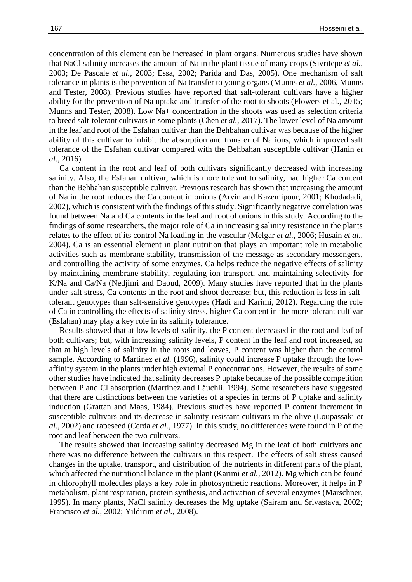concentration of this element can be increased in plant organs. Numerous studies have shown that NaCl salinity increases the amount of Na in the plant tissue of many crops (Sivritepe *et al.,* 2003; De Pascale *et al.,* 2003; Essa, 2002; Parida and Das, 2005). One mechanism of salt tolerance in plants is the prevention of Na transfer to young organs (Munns *et al.,* 2006, Munns and Tester, 2008). Previous studies have reported that salt-tolerant cultivars have a higher ability for the prevention of Na uptake and transfer of the root to shoots (Flowers et al., 2015; Munns and Tester, 2008). Low Na+ concentration in the shoots was used as selection criteria to breed salt-tolerant cultivars in some plants (Chen *et al.,* 2017). The lower level of Na amount in the leaf and root of the Esfahan cultivar than the Behbahan cultivar was because of the higher ability of this cultivar to inhibit the absorption and transfer of Na ions, which improved salt tolerance of the Esfahan cultivar compared with the Behbahan susceptible cultivar (Hanin *et al.,* 2016).

 Ca content in the root and leaf of both cultivars significantly decreased with increasing salinity. Also, the Esfahan cultivar, which is more tolerant to salinity, had higher Ca content than the Behbahan susceptible cultivar. Previous research has shown that increasing the amount of Na in the root reduces the Ca content in onions (Arvin and Kazemipour, 2001; Khodadadi, 2002), which is consistent with the findings of this study. Significantly negative correlation was found between Na and Ca contents in the leaf and root of onions in this study. According to the findings of some researchers, the major role of Ca in increasing salinity resistance in the plants relates to the effect of its control Na loading in the vascular (Melgar *et al.,* 2006; Husain *et al.,* 2004). Ca is an essential element in plant nutrition that plays an important role in metabolic activities such as membrane stability, transmission of the message as secondary messengers, and controlling the activity of some enzymes. Ca helps reduce the negative effects of salinity by maintaining membrane stability, regulating ion transport, and maintaining selectivity for K/Na and Ca/Na (Nedjimi and Daoud, 2009). Many studies have reported that in the plants under salt stress, Ca contents in the root and shoot decrease; but, this reduction is less in salttolerant genotypes than salt-sensitive genotypes (Hadi and Karimi, 2012). Regarding the role of Ca in controlling the effects of salinity stress, higher Ca content in the more tolerant cultivar (Esfahan) may play a key role in its salinity tolerance.

 Results showed that at low levels of salinity, the P content decreased in the root and leaf of both cultivars; but, with increasing salinity levels, P content in the leaf and root increased, so that at high levels of salinity in the roots and leaves, P content was higher than the control sample. According to Martinez *et al.* (1996), salinity could increase P uptake through the lowaffinity system in the plants under high external P concentrations. However, the results of some other studies have indicated that salinity decreases P uptake because of the possible competition between P and Cl absorption (Martinez and Läuchli, 1994). Some researchers have suggested that there are distinctions between the varieties of a species in terms of P uptake and salinity induction (Grattan and Maas, 1984). Previous studies have reported P content increment in susceptible cultivars and its decrease in salinity-resistant cultivars in the olive (Loupassaki *et al.,* 2002) and rapeseed (Cerda *et al.,* 1977). In this study, no differences were found in P of the root and leaf between the two cultivars.

 The results showed that increasing salinity decreased Mg in the leaf of both cultivars and there was no difference between the cultivars in this respect. The effects of salt stress caused changes in the uptake, transport, and distribution of the nutrients in different parts of the plant, which affected the nutritional balance in the plant (Karimi *et al.,* 2012). Mg which can be found in chlorophyll molecules plays a key role in photosynthetic reactions. Moreover, it helps in P metabolism, plant respiration, protein synthesis, and activation of several enzymes (Marschner, 1995). In many plants, NaCl salinity decreases the Mg uptake (Sairam and Srivastava, 2002; Francisco *et al.,* 2002; Yildirim *et al.,* 2008).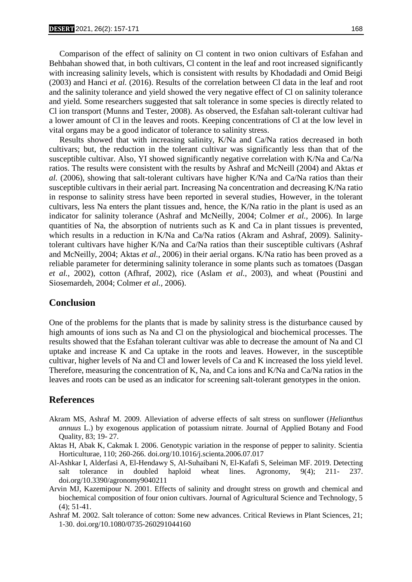Comparison of the effect of salinity on Cl content in two onion cultivars of Esfahan and Behbahan showed that, in both cultivars, Cl content in the leaf and root increased significantly with increasing salinity levels, which is consistent with results by Khodadadi and Omid Beigi (2003) and Hanci *et al.* (2016). Results of the correlation between Cl data in the leaf and root and the salinity tolerance and yield showed the very negative effect of Cl on salinity tolerance and yield. Some researchers suggested that salt tolerance in some species is directly related to Cl ion transport (Munns and Tester, 2008). As observed, the Esfahan salt-tolerant cultivar had a lower amount of Cl in the leaves and roots. Keeping concentrations of Cl at the low level in vital organs may be a good indicator of tolerance to salinity stress.

 Results showed that with increasing salinity, K/Na and Ca/Na ratios decreased in both cultivars; but, the reduction in the tolerant cultivar was significantly less than that of the susceptible cultivar. Also, YI showed significantly negative correlation with K/Na and Ca/Na ratios. The results were consistent with the results by Ashraf and McNeill (2004) and Aktas *et al.* (2006), showing that salt-tolerant cultivars have higher K/Na and Ca/Na ratios than their susceptible cultivars in their aerial part. Increasing Na concentration and decreasing K/Na ratio in response to salinity stress have been reported in several studies, However, in the tolerant cultivars, less Na enters the plant tissues and, hence, the K/Na ratio in the plant is used as an indicator for salinity tolerance (Ashraf and McNeilly, 2004; Colmer *et al.,* 2006). In large quantities of Na, the absorption of nutrients such as K and Ca in plant tissues is prevented, which results in a reduction in K/Na and Ca/Na ratios (Akram and Ashraf, 2009). Salinitytolerant cultivars have higher K/Na and Ca/Na ratios than their susceptible cultivars (Ashraf and McNeilly, 2004; Aktas *et al.,* 2006) in their aerial organs. K/Na ratio has been proved as a reliable parameter for determining salinity tolerance in some plants such as tomatoes (Dasgan *et al.,* 2002), cotton (Afhraf, 2002), rice (Aslam *et al.,* 2003), and wheat (Poustini and Siosemardeh, 2004; Colmer *et al.,* 2006).

#### **Conclusion**

One of the problems for the plants that is made by salinity stress is the disturbance caused by high amounts of ions such as Na and Cl on the physiological and biochemical processes. The results showed that the Esfahan tolerant cultivar was able to decrease the amount of Na and Cl uptake and increase K and Ca uptake in the roots and leaves. However, in the susceptible cultivar, higher levels of Na and Cl and lower levels of Ca and K increased the loss yield level. Therefore, measuring the concentration of K, Na, and Ca ions and K/Na and Ca/Na ratios in the leaves and roots can be used as an indicator for screening salt-tolerant genotypes in the onion.

## **References**

- Akram MS, Ashraf M. 2009. Alleviation of adverse effects of salt stress on sunflower (*Helianthus annuus* L.) by exogenous application of potassium nitrate. Journal of Applied Botany and Food Quality, 83; 19- 27.
- Aktas H, Abak K, Cakmak I. 2006. Genotypic variation in the response of pepper to salinity. Scientia Horticulturae, 110; 260-266. doi.org/10.1016/j.scienta.2006.07.017
- Al-Ashkar I, Alderfasi A, El-Hendawy S, Al-Suhaibani N, El-Kafafi S, Seleiman MF. 2019. Detecting salt tolerance in doubled haploid wheat lines. Agronomy, 9(4); 211- 237. doi.org/10.3390/agronomy9040211
- Arvin MJ, Kazemipour N. 2001. Effects of salinity and drought stress on growth and chemical and biochemical composition of four onion cultivars. Journal of Agricultural Science and Technology, 5 (4); 51-41.
- Ashraf M. 2002. Salt tolerance of cotton: Some new advances. Critical Reviews in Plant Sciences, 21; 1-30. doi.org/10.1080/0735-260291044160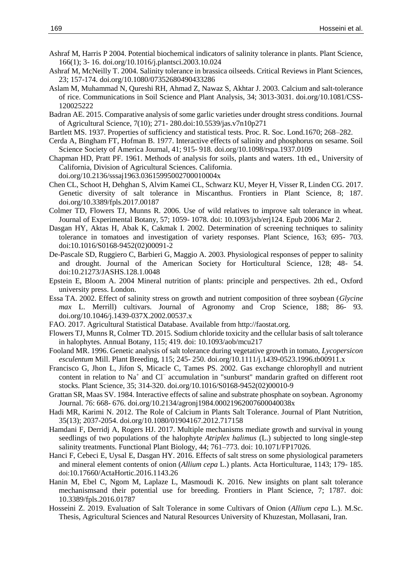- Ashraf M, Harris P 2004. Potential biochemical indicators of salinity tolerance in plants. Plant Science, 166(1); 3- 16. doi.org/10.1016/j.plantsci.2003.10.024
- Ashraf M, McNeilly T. 2004. Salinity tolerance in brassica oilseeds. Critical Reviews in Plant Sciences, 23; 157-174. doi.org/10.1080/07352680490433286
- Aslam M, Muhammad N, Qureshi RH, Ahmad Z, Nawaz S, Akhtar J. 2003. Calcium and salt-tolerance of rice. Communications in Soil Science and Plant Analysis, 34; 3013-3031. doi.org/10.1081/CSS-120025222
- Badran AE. 2015. Comparative analysis of some garlic varieties under drought stress conditions. Journal of Agricultural Science, 7(10); 271- 280.doi:10.5539/jas.v7n10p271
- Bartlett MS. 1937. Properties of sufficiency and statistical tests. Proc. R. Soc. Lond.1670; 268–282.
- Cerda A, Bingham FT, Hofman B. 1977. Interactive effects of salinity and phosphorus on sesame. Soil Science Society of America Journal, 41; 915- 918. doi.org/10.1098/rspa.1937.0109
- Chapman HD, Pratt PF. 1961. Methods of analysis for soils, plants and waters. 1th ed., University of California, Division of Agricultural Sciences. California. doi.org/10.2136/sssaj1963.03615995002700010004x
- Chen CL, Schoot H, Dehghan S, Alvim Kamei CL, Schwarz KU, Meyer H, Visser R, Linden CG. 2017. Genetic diversity of salt tolerance in Miscanthus. Frontiers in Plant Science, 8; 187. doi.org/10.3389/fpls.2017.00187
- Colmer TD, Flowers TJ, Munns R. 2006. Use of wild relatives to improve salt tolerance in wheat. Journal of Experimental Botany, 57; 1059- 1078. doi: 10.1093/jxb/erj124. Epub 2006 Mar 2.
- Dasgan HY, Aktas H, Abak K, Cakmak I. 2002. Determination of screening techniques to salinity tolerance in tomatoes and investigation of variety responses. Plant Science, 163; 695- 703. doi:10.1016/S0168-9452(02)00091-2
- De-Pascale SD, Ruggiero C, Barbieri G, Maggio A. 2003. Physiological responses of pepper to salinity and drought. Journal of the American Society for Horticultural Science, 128; 48- 54. doi:10.21273/JASHS.128.1.0048
- Epstein E, Bloom A. 2004 Mineral nutrition of plants: principle and perspectives. 2th ed., Oxford university press. London.
- Essa TA. 2002. Effect of salinity stress on growth and nutrient composition of three soybean (*Glycine max* L. Merrill) cultivars. Journal of Agronomy and Crop Science, 188; 86- 93. doi.org/10.1046/j.1439-037X.2002.00537.x
- FAO. 2017. Agricultural Statistical Database. Available from http://faostat.org.
- Flowers TJ, Munns R, Colmer TD. 2015. Sodium chloride toxicity and the cellular basis of salt tolerance in halophytes. Annual Botany, 115; 419. doi: 10.1093/aob/mcu217
- Fooland MR. 1996. Genetic analysis of salt tolerance during vegetative growth in tomato, *Lycopersicon esculentum* Mill. Plant Breeding, 115; 245- 250. doi.org/10.1111/j.1439-0523.1996.tb00911.x
- Francisco G, Jhon L, Jifon S, Micacle C, Tames PS. 2002. Gas exchange chlorophyll and nutrient content in relation to Na<sup>+</sup> and Cl<sup>−</sup> accumulation in "sunburst" mandarin grafted on different root stocks. Plant Science, 35; 314-320. doi.org/10.1016/S0168-9452(02)00010-9
- Grattan SR, Maas SV. 1984. Interactive effects of saline and substrate phosphate on soybean. Agronomy Journal. 76: 668- 676. doi.org/10.2134/agronj1984.00021962007600040038x
- Hadi MR, Karimi N. 2012. The Role of Calcium in Plants Salt Tolerance. Journal of Plant Nutrition, 35(13); 2037-2054. doi.org/10.1080/01904167.2012.717158
- Hamdani F, Derridj A, Rogers HJ. 2017. Multiple mechanisms mediate growth and survival in young seedlings of two populations of the halophyte *Atriplex halimus* (L.) subjected to long single-step salinity treatments. Functional Plant Biology, 44; 761–773. doi: 10.1071/FP17026.
- Hanci F, Cebeci E, Uysal E, Dasgan HY. 2016. Effects of salt stress on some physiological parameters and mineral element contents of onion (*Allium cepa* L.) plants. Acta Horticulturae, 1143; 179- 185. doi:10.17660/ActaHortic.2016.1143.26
- Hanin M, Ebel C, Ngom M, Laplaze L, Masmoudi K. 2016. New insights on plant salt tolerance mechanismsand their potential use for breeding. Frontiers in Plant Science, 7; 1787. doi: 10.3389/fpls.2016.01787
- Hosseini Z. 2019. Evaluation of Salt Tolerance in some Cultivars of Onion (*Allium cepa* L.). M.Sc. Thesis, Agricultural Sciences and Natural Resources University of Khuzestan, Mollasani, Iran.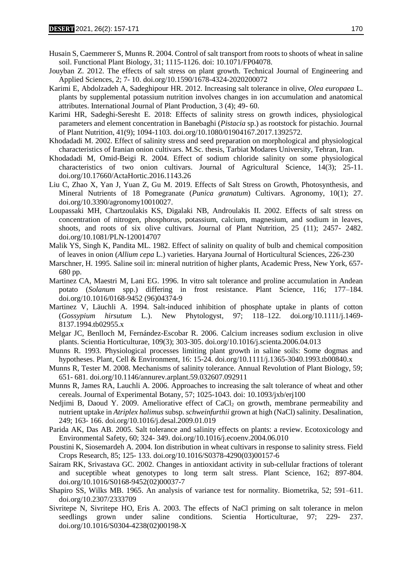- Husain S, Caemmerer S, Munns R. 2004. Control of salt transport from roots to shoots of wheat in saline soil. Functional Plant Biology, 31; 1115-1126. doi: 10.1071/FP04078.
- Jouyban Z. 2012. The effects of salt stress on plant growth. Technical Journal of Engineering and Applied Sciences, 2; 7- 10. doi.org/10.1590/1678-4324-2020200072
- Karimi E, Abdolzadeh A, Sadeghipour HR. 2012. Increasing salt tolerance in olive, *Olea europaea* L. plants by supplemental potassium nutrition involves changes in ion accumulation and anatomical attributes. International Journal of Plant Production, 3 (4); 49- 60.
- Karimi HR, Sadeghi-Seresht E. 2018: Effects of salinity stress on growth indices, physiological parameters and element concentration in Banebaghi (*Pistacia* sp.) as rootstock for pistachio. Journal of Plant Nutrition, 41(9); 1094-1103. doi.org/10.1080/01904167.2017.1392572.
- Khodadadi M. 2002. Effect of salinity stress and seed preparation on morphological and physiological characteristics of Iranian onion cultivars. M.Sc. thesis, Tarbiat Modares University, Tehran, Iran.
- Khodadadi M, Omid-Beigi R. 2004. Effect of sodium chloride salinity on some physiological characteristics of two onion cultivars. Journal of Agricultural Science, 14(3); 25-11. doi.org/10.17660/ActaHortic.2016.1143.26
- Liu C, Zhao X, Yan J, Yuan Z, Gu M. 2019. Effects of Salt Stress on Growth, Photosynthesis, and Mineral Nutrients of 18 Pomegranate (*Punica granatum*) Cultivars. Agronomy, 10(1); 27. doi.org/10.3390/agronomy10010027.
- Loupassaki MH, Chartzoulakis KS, Digalaki NB, Androulakis II. 2002. Effects of salt stress on concentration of nitrogen, phosphorus, potassium, calcium, magnesium, and sodium in leaves, shoots, and roots of six olive cultivars. Journal of Plant Nutrition, 25 (11); 2457- 2482. doi.org/10.1081/PLN-120014707
- Malik YS, Singh K, Pandita ML. 1982. Effect of salinity on quality of bulb and chemical composition of leaves in onion (*Allium cepa* L.) varieties. Haryana Journal of Horticultural Sciences, 226-230
- Marschner, H. 1995. Saline soil in: mineral nutrition of higher plants, Academic Press, New York, 657- 680 pp.
- Martinez CA, Maestri M, Lani EG. 1996. In vitro salt tolerance and proline accumulation in Andean potato (*Solanum* spp.) differing in frost resistance. Plant Science, 116; 177–184. doi.org/10.1016/0168-9452 (96)04374-9
- Martinez V, Läuchli A. 1994. Salt-induced inhibition of phosphate uptake in plants of cotton (*Gossypium hirsutum* L.). New Phytologyst, 97; 118–122. doi.org/10.1111/j.1469- 8137.1994.tb02955.x
- Melgar JC, Benlloch M, Fernández-Escobar R. 2006. Calcium increases sodium exclusion in olive plants. Scientia Horticulturae, 109(3); 303-305. doi.org/10.1016/j.scienta.2006.04.013
- Munns R. 1993. Physiological processes limiting plant growth in saline soils: Some dogmas and hypotheses. Plant, Cell & Environment, 16: 15-24. doi.org/10.1111/j.1365-3040.1993.tb00840.x
- Munns R, Tester M. 2008. Mechanisms of salinity tolerance. Annual Revolution of Plant Biology, 59; 651- 681. doi.org/10.1146/annurev.arplant.59.032607.092911
- Munns R, James RA, Lauchli A. 2006. Approaches to increasing the salt tolerance of wheat and other cereals. Journal of Experimental Botany, 57; 1025-1043. doi: 10.1093/jxb/erj100
- Nedjimi B, Daoud Y. 2009. Ameliorative effect of CaCl<sub>2</sub> on growth, membrane permeability and nutrient uptake in *Atriplex halimus* subsp. *schweinfurthii* grown at high (NaCl) salinity. Desalination, 249; 163- 166. doi.org/10.1016/j.desal.2009.01.019
- Parida AK, Das AB. 2005. Salt tolerance and salinity effects on plants: a review. Ecotoxicology and Environmental Safety, 60; 324- 349. doi.org/10.1016/j.ecoenv.2004.06.010
- Poustini K, Siosemardeh A. 2004. Ion distribution in wheat cultivars in response to salinity stress. Field Crops Research, 85; 125- 133. doi.org/10.1016/S0378-4290(03)00157-6
- Sairam RK, Srivastava GC. 2002. Changes in antioxidant activity in sub-cellular fractions of tolerant and suceptible wheat genotypes to long term salt stress. Plant Science, 162; 897-804. doi.org/10.1016/S0168-9452(02)00037-7
- Shapiro SS, Wilks MB. 1965. An analysis of variance test for normality. Biometrika, 52; 591–611. doi.org/10.2307/2333709
- Sivritepe N, Sivritepe HO, Eris A. 2003. The effects of NaCl priming on salt tolerance in melon seedlings grown under saline conditions. Scientia Horticulturae, 97; 229- 237. doi.org/10.1016/S0304-4238(02)00198-X